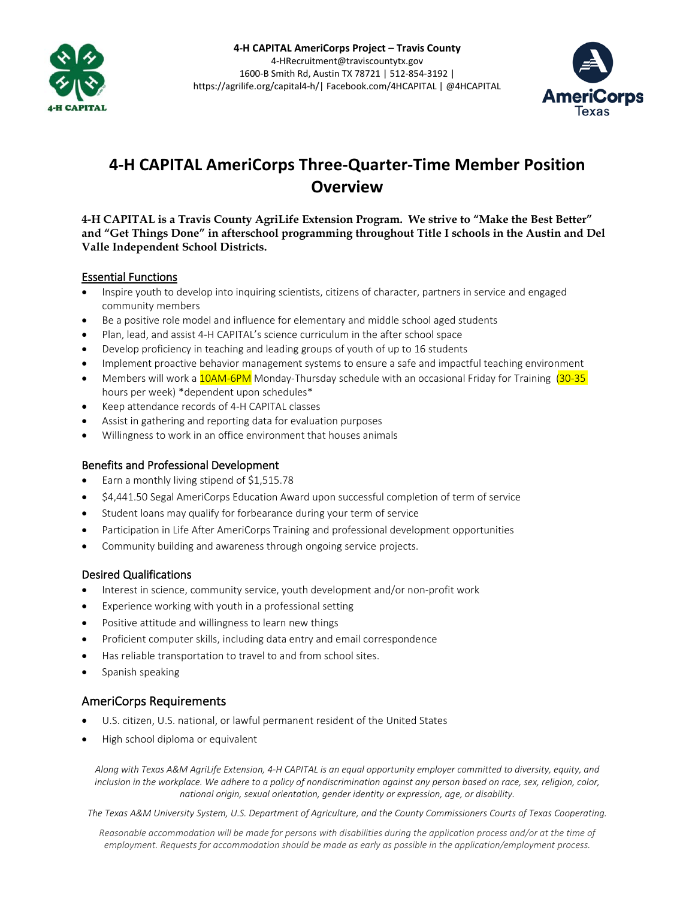



# **4-H CAPITAL AmeriCorps Three-Quarter-Time Member Position Overview**

**4-H CAPITAL is a Travis County AgriLife Extension Program. We strive to "Make the Best Better" and "Get Things Done" in afterschool programming throughout Title I schools in the Austin and Del Valle Independent School Districts.**

## Essential Functions

- Inspire youth to develop into inquiring scientists, citizens of character, partners in service and engaged community members
- Be a positive role model and influence for elementary and middle school aged students
- Plan, lead, and assist 4-H CAPITAL's science curriculum in the after school space
- Develop proficiency in teaching and leading groups of youth of up to 16 students
- Implement proactive behavior management systems to ensure a safe and impactful teaching environment
- Members will work a 10AM-6PM Monday-Thursday schedule with an occasional Friday for Training (30-35 hours per week) \*dependent upon schedules\*
- Keep attendance records of 4-H CAPITAL classes
- Assist in gathering and reporting data for evaluation purposes
- Willingness to work in an office environment that houses animals

#### Benefits and Professional Development

- Earn a monthly living stipend of \$1,515.78
- \$4,441.50 Segal AmeriCorps Education Award upon successful completion of term of service
- Student loans may qualify for forbearance during your term of service
- Participation in Life After AmeriCorps Training and professional development opportunities
- Community building and awareness through ongoing service projects.

## Desired Qualifications

- Interest in science, community service, youth development and/or non-profit work
- Experience working with youth in a professional setting
- Positive attitude and willingness to learn new things
- Proficient computer skills, including data entry and email correspondence
- Has reliable transportation to travel to and from school sites.
- Spanish speaking

# AmeriCorps Requirements

- U.S. citizen, U.S. national, or lawful permanent resident of the United States
- High school diploma or equivalent

*Along with Texas A&M AgriLife Extension, 4-H CAPITAL is an equal opportunity employer committed to diversity, equity, and inclusion in the workplace. We adhere to a policy of nondiscrimination against any person based on race, sex, religion, color, national origin, sexual orientation, gender identity or expression, age, or disability.* 

*The Texas A&M University System, U.S. Department of Agriculture, and the County Commissioners Courts of Texas Cooperating.*

*Reasonable accommodation will be made for persons with disabilities during the application process and/or at the time of employment. Requests for accommodation should be made as early as possible in the application/employment process.*